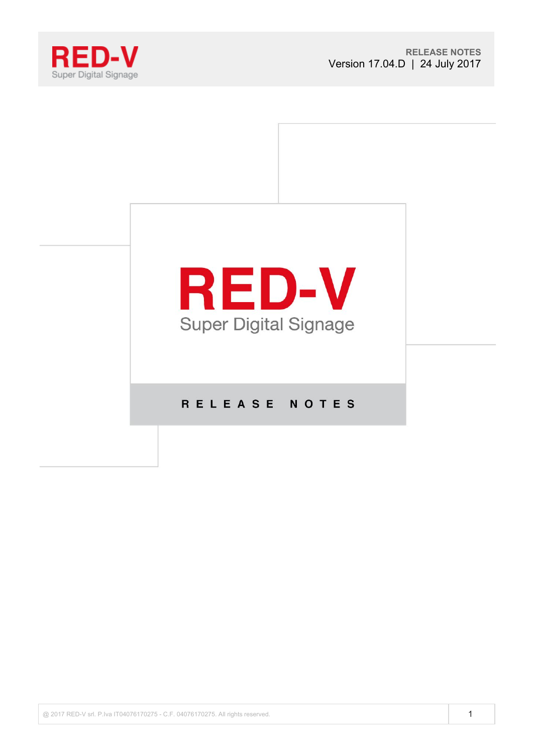



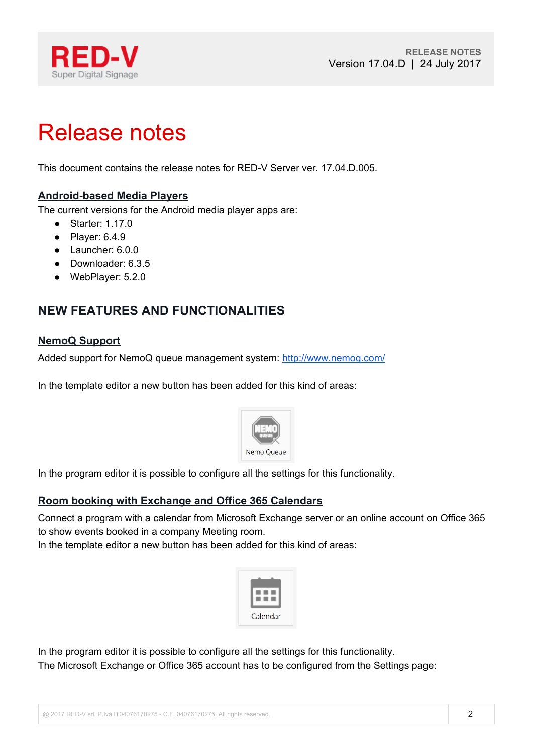

# Release notes

This document contains the release notes for RED-V Server ver. 17.04.D.005.

#### **Android-based Media Players**

The current versions for the Android media player apps are:

- Starter: 1.17.0
- Player: 6.4.9
- Launcher: 6.0.0
- Downloader: 6.3.5
- WebPlayer: 5.2.0

## **NEW FEATURES AND FUNCTIONALITIES**

#### **NemoQ Support**

Added support for NemoQ queue management system: http://www.nemog.com/

In the template editor a new button has been added for this kind of areas:



In the program editor it is possible to configure all the settings for this functionality.

#### **Room booking with Exchange and Office 365 Calendars**

Connect a program with a calendar from Microsoft Exchange server or an online account on Office 365 to show events booked in a company Meeting room.

In the template editor a new button has been added for this kind of areas:



In the program editor it is possible to configure all the settings for this functionality. The Microsoft Exchange or Office 365 account has to be configured from the Settings page: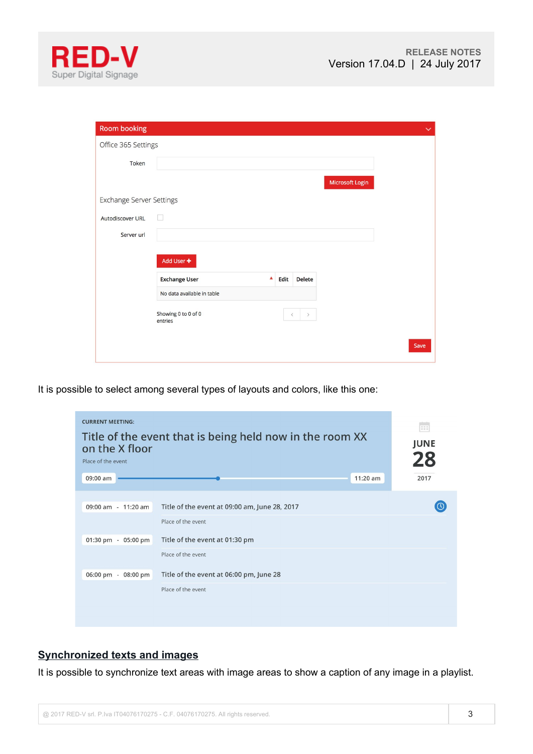



| <b>Room booking</b>             |                                |         |               |                 |      | $\checkmark$ |
|---------------------------------|--------------------------------|---------|---------------|-----------------|------|--------------|
| Office 365 Settings             |                                |         |               |                 |      |              |
| Token                           |                                |         |               |                 |      |              |
|                                 |                                |         |               | Microsoft Login |      |              |
| <b>Exchange Server Settings</b> |                                |         |               |                 |      |              |
| Autodiscover URL                | $\Box$                         |         |               |                 |      |              |
| Server url                      |                                |         |               |                 |      |              |
|                                 | Add User +                     |         |               |                 |      |              |
|                                 | <b>Exchange User</b><br>▲      | Edit    | <b>Delete</b> |                 |      |              |
|                                 | No data available in table     |         |               |                 |      |              |
|                                 | Showing 0 to 0 of 0<br>entries | $\,<\,$ | $\rightarrow$ |                 |      |              |
|                                 |                                |         |               |                 | Save |              |

It is possible to select among several types of layouts and colors, like this one:

| <b>CURRENT MEETING:</b><br>Title of the event that is being held now in the room XX<br>on the X floor<br>Place of the event | <b>THE</b><br><b>JUNE</b><br>28               |      |
|-----------------------------------------------------------------------------------------------------------------------------|-----------------------------------------------|------|
| 09:00 am                                                                                                                    | 11:20 am                                      | 2017 |
| 09:00 am - 11:20 am                                                                                                         | Title of the event at 09:00 am, June 28, 2017 |      |
|                                                                                                                             | Place of the event                            |      |
| 01:30 pm - 05:00 pm                                                                                                         | Title of the event at 01:30 pm                |      |
|                                                                                                                             | Place of the event                            |      |
| 06:00 pm - 08:00 pm                                                                                                         | Title of the event at 06:00 pm, June 28       |      |
|                                                                                                                             | Place of the event                            |      |
|                                                                                                                             |                                               |      |

### **Synchronized texts and images**

It is possible to synchronize text areas with image areas to show a caption of any image in a playlist.